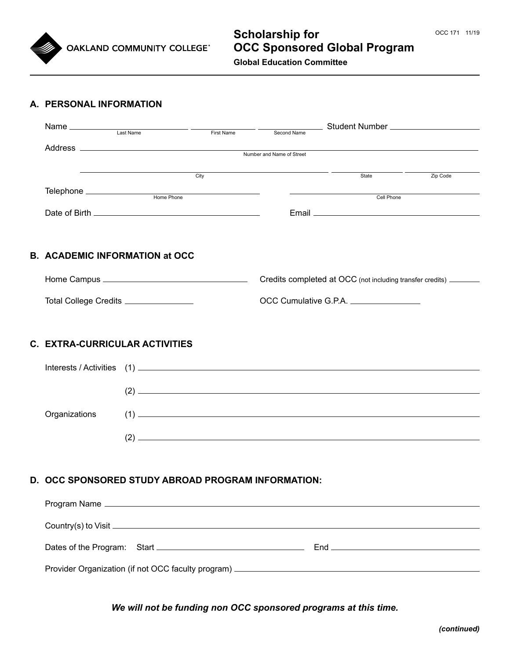

# **Scholarship for OCC Sponsored Global Program Global Education Committee**

#### **A. PERSONAL INFORMATION**

|                                       |                                                    |                                                                                                                                    | Student Number ______________________                              |                                                                                                                                                                                                                                                                                                                                                                             |  |  |
|---------------------------------------|----------------------------------------------------|------------------------------------------------------------------------------------------------------------------------------------|--------------------------------------------------------------------|-----------------------------------------------------------------------------------------------------------------------------------------------------------------------------------------------------------------------------------------------------------------------------------------------------------------------------------------------------------------------------|--|--|
|                                       |                                                    | First Name                                                                                                                         | Second Name                                                        |                                                                                                                                                                                                                                                                                                                                                                             |  |  |
|                                       |                                                    |                                                                                                                                    | Number and Name of Street                                          |                                                                                                                                                                                                                                                                                                                                                                             |  |  |
|                                       |                                                    | $\overline{\text{City}}$ $\overline{\text{City}}$                                                                                  | State                                                              | Zip Code                                                                                                                                                                                                                                                                                                                                                                    |  |  |
|                                       |                                                    | <u> Alexandria de la contrada de la contrada de la contrada de la contrada de la contrada de la contrada de la c</u><br>Cell Phone |                                                                    |                                                                                                                                                                                                                                                                                                                                                                             |  |  |
|                                       |                                                    |                                                                                                                                    |                                                                    |                                                                                                                                                                                                                                                                                                                                                                             |  |  |
|                                       |                                                    |                                                                                                                                    |                                                                    |                                                                                                                                                                                                                                                                                                                                                                             |  |  |
|                                       |                                                    |                                                                                                                                    |                                                                    |                                                                                                                                                                                                                                                                                                                                                                             |  |  |
|                                       | <b>B. ACADEMIC INFORMATION at OCC</b>              |                                                                                                                                    |                                                                    |                                                                                                                                                                                                                                                                                                                                                                             |  |  |
|                                       |                                                    |                                                                                                                                    | Credits completed at OCC (not including transfer credits) ________ |                                                                                                                                                                                                                                                                                                                                                                             |  |  |
| Total College Credits _______________ |                                                    | OCC Cumulative G.P.A.                                                                                                              |                                                                    |                                                                                                                                                                                                                                                                                                                                                                             |  |  |
|                                       |                                                    |                                                                                                                                    |                                                                    |                                                                                                                                                                                                                                                                                                                                                                             |  |  |
|                                       |                                                    |                                                                                                                                    |                                                                    |                                                                                                                                                                                                                                                                                                                                                                             |  |  |
| C. EXTRA-CURRICULAR ACTIVITIES        |                                                    |                                                                                                                                    |                                                                    |                                                                                                                                                                                                                                                                                                                                                                             |  |  |
|                                       |                                                    |                                                                                                                                    |                                                                    |                                                                                                                                                                                                                                                                                                                                                                             |  |  |
|                                       |                                                    |                                                                                                                                    |                                                                    | $\overline{a}$ (2) $\overline{a}$ and $\overline{a}$ and $\overline{a}$ and $\overline{a}$ and $\overline{a}$ and $\overline{a}$ and $\overline{a}$ and $\overline{a}$ and $\overline{a}$ and $\overline{a}$ and $\overline{a}$ and $\overline{a}$ and $\overline{a}$ and $\overline{a}$ and $\overline{a}$ and $\overline{a}$ and                                          |  |  |
| Organizations                         |                                                    |                                                                                                                                    |                                                                    | $(1) \qquad \qquad \overbrace{\qquad \qquad }^{(1)}$                                                                                                                                                                                                                                                                                                                        |  |  |
|                                       |                                                    |                                                                                                                                    |                                                                    | $\overline{a}$ (2) $\overline{a}$ $\overline{a}$ $\overline{a}$ $\overline{a}$ $\overline{a}$ $\overline{a}$ $\overline{a}$ $\overline{a}$ $\overline{a}$ $\overline{a}$ $\overline{a}$ $\overline{a}$ $\overline{a}$ $\overline{a}$ $\overline{a}$ $\overline{a}$ $\overline{a}$ $\overline{a}$ $\overline{a}$ $\overline{a}$ $\overline{a}$ $\overline{a}$ $\overline{a}$ |  |  |
|                                       |                                                    |                                                                                                                                    |                                                                    |                                                                                                                                                                                                                                                                                                                                                                             |  |  |
|                                       |                                                    |                                                                                                                                    |                                                                    |                                                                                                                                                                                                                                                                                                                                                                             |  |  |
|                                       | D. OCC SPONSORED STUDY ABROAD PROGRAM INFORMATION: |                                                                                                                                    |                                                                    |                                                                                                                                                                                                                                                                                                                                                                             |  |  |
|                                       |                                                    |                                                                                                                                    |                                                                    |                                                                                                                                                                                                                                                                                                                                                                             |  |  |
|                                       |                                                    |                                                                                                                                    |                                                                    |                                                                                                                                                                                                                                                                                                                                                                             |  |  |
|                                       |                                                    |                                                                                                                                    |                                                                    |                                                                                                                                                                                                                                                                                                                                                                             |  |  |
|                                       |                                                    |                                                                                                                                    |                                                                    |                                                                                                                                                                                                                                                                                                                                                                             |  |  |

*We will not be funding non OCC sponsored programs at this time.*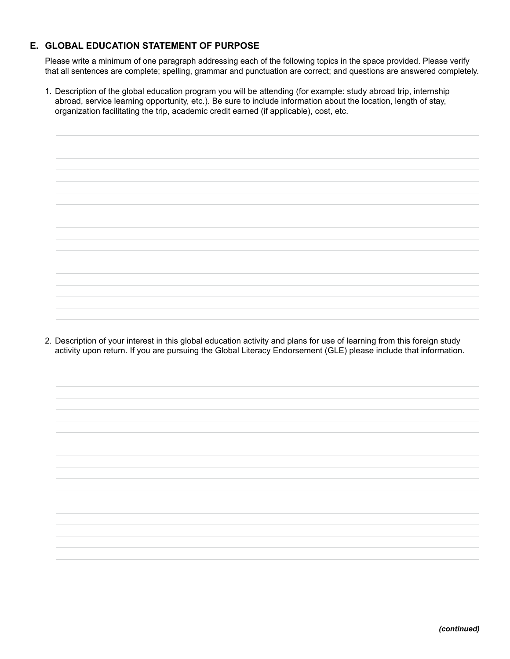### **E. GLOBAL EDUCATION STATEMENT OF PURPOSE**

Please write a minimum of one paragraph addressing each of the following topics in the space provided. Please verify that all sentences are complete; spelling, grammar and punctuation are correct; and questions are answered completely.

1. Description of the global education program you will be attending (for example: study abroad trip, internship abroad, service learning opportunity, etc.). Be sure to include information about the location, length of stay, organization facilitating the trip, academic credit earned (if applicable), cost, etc.

2. Description of your interest in this global education activity and plans for use of learning from this foreign study activity upon return. If you are pursuing the Global Literacy Endorsement (GLE) please include that information.